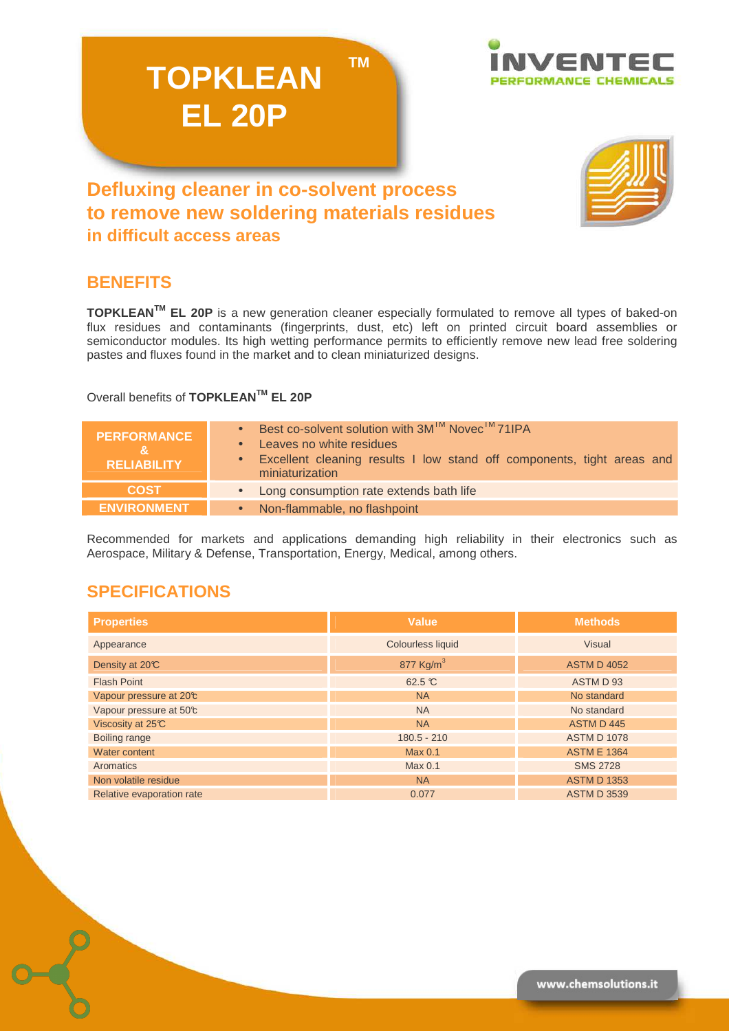**TM** 



# **Defluxing cleaner in co-solvent process to remove new soldering materials residues in difficult access areas**

**TOPKLEAN**

**EL 20P**



## **BENEFITS**

**TOPKLEANTM EL 20P** is a new generation cleaner especially formulated to remove all types of baked-on flux residues and contaminants (fingerprints, dust, etc) left on printed circuit board assemblies or semiconductor modules. Its high wetting performance permits to efficiently remove new lead free soldering pastes and fluxes found in the market and to clean miniaturized designs.

### Overall benefits of **TOPKLEANTM EL 20P**

| <b>PERFORMANCE</b><br><b>RELIABILITY</b> | • Best co-solvent solution with $3M^{TM}$ Novec <sup>TM</sup> 71IPA<br>• Leaves no white residues<br>• Excellent cleaning results I low stand off components, tight areas and<br>miniaturization |
|------------------------------------------|--------------------------------------------------------------------------------------------------------------------------------------------------------------------------------------------------|
| <b>COST</b>                              | • Long consumption rate extends bath life                                                                                                                                                        |
| <b>ENVIRONMENT</b>                       | • Non-flammable, no flashpoint                                                                                                                                                                   |

Recommended for markets and applications demanding high reliability in their electronics such as Aerospace, Military & Defense, Transportation, Energy, Medical, among others.

## **SPECIFICATIONS**

| <b>Properties</b>         | <b>Value</b>          | <b>Methods</b>     |
|---------------------------|-----------------------|--------------------|
| Appearance                | Colourless liquid     | <b>Visual</b>      |
| Density at 20°C           | 877 Kg/m <sup>3</sup> | <b>ASTM D 4052</b> |
| <b>Flash Point</b>        | 62.5 ℃                | ASTM D 93          |
| Vapour pressure at 20°c   | <b>NA</b>             | No standard        |
| Vapour pressure at 50°c   | <b>NA</b>             | No standard        |
| Viscosity at 25°C         | <b>NA</b>             | ASTM D 445         |
| Boiling range             | $180.5 - 210$         | <b>ASTM D 1078</b> |
| Water content             | Max 0.1               | <b>ASTM E 1364</b> |
| Aromatics                 | Max 0.1               | <b>SMS 2728</b>    |
| Non volatile residue      | <b>NA</b>             | <b>ASTM D 1353</b> |
| Relative evaporation rate | 0.077                 | <b>ASTM D 3539</b> |